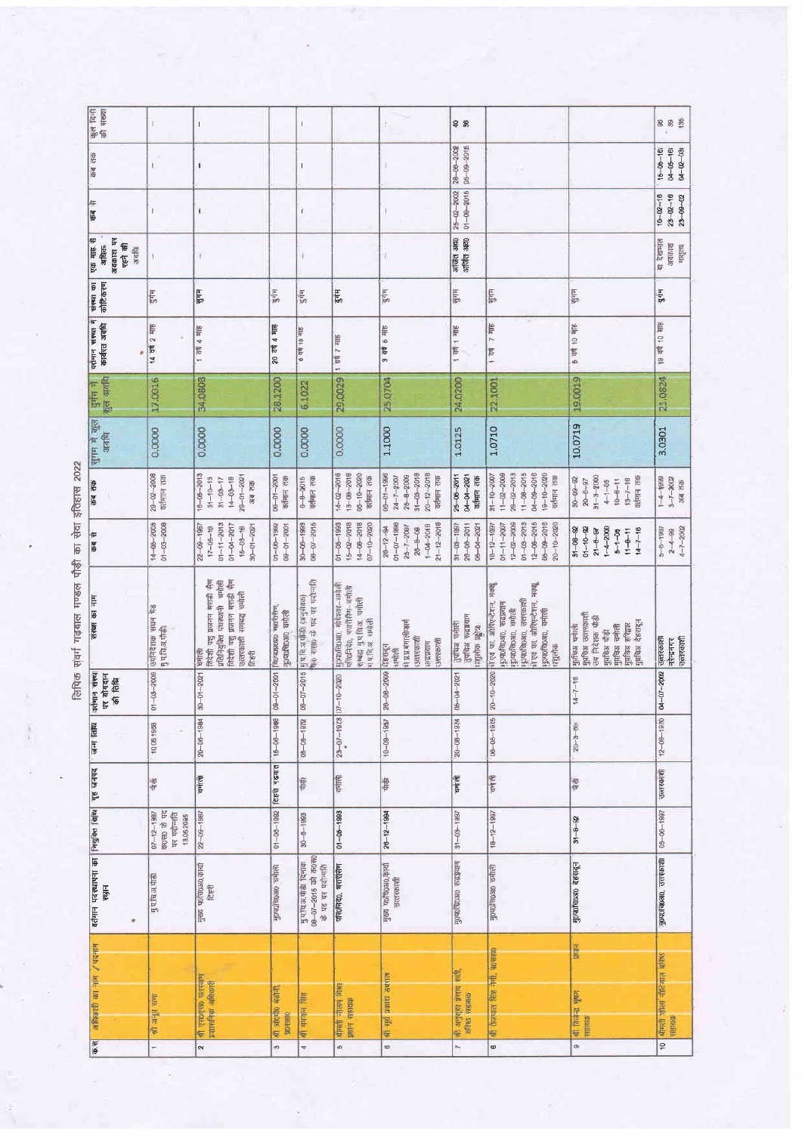लिपिक संवर्ग गढ़बाल मण्डल पौड़ी का सेवा इंतिहास 2022

| कुल दिनों<br>की संख्या                                        |                                                                                        | т                                                                                                                                       |                                          | ŧ.                                                              |                                                                                                        | ł.                                                                                                                                                                                                                                                                                                                                                                                                             | 98                                                           |                                                                                                                                                                                      |                                                                                                                                 | <b>883</b>                                                 |
|---------------------------------------------------------------|----------------------------------------------------------------------------------------|-----------------------------------------------------------------------------------------------------------------------------------------|------------------------------------------|-----------------------------------------------------------------|--------------------------------------------------------------------------------------------------------|----------------------------------------------------------------------------------------------------------------------------------------------------------------------------------------------------------------------------------------------------------------------------------------------------------------------------------------------------------------------------------------------------------------|--------------------------------------------------------------|--------------------------------------------------------------------------------------------------------------------------------------------------------------------------------------|---------------------------------------------------------------------------------------------------------------------------------|------------------------------------------------------------|
| कब तक                                                         | $\mathbf{I}$                                                                           | I                                                                                                                                       |                                          | $\mathsf I$                                                     |                                                                                                        | $\ $                                                                                                                                                                                                                                                                                                                                                                                                           | 28-06-2002<br>$05 - 09 - 2016$                               |                                                                                                                                                                                      |                                                                                                                                 | $15 - 05 - 16$<br>$04 - 05 - 16$<br>$04 - 02 - 08$         |
| कब से                                                         |                                                                                        | $\pmb{\mathfrak{t}}$                                                                                                                    |                                          | $\bar{\rm I}$                                                   |                                                                                                        | $\begin{array}{c} \rule{0pt}{2ex} \rule{0pt}{2ex} \rule{0pt}{2ex} \rule{0pt}{2ex} \rule{0pt}{2ex} \rule{0pt}{2ex} \rule{0pt}{2ex} \rule{0pt}{2ex} \rule{0pt}{2ex} \rule{0pt}{2ex} \rule{0pt}{2ex} \rule{0pt}{2ex} \rule{0pt}{2ex} \rule{0pt}{2ex} \rule{0pt}{2ex} \rule{0pt}{2ex} \rule{0pt}{2ex} \rule{0pt}{2ex} \rule{0pt}{2ex} \rule{0pt}{2ex} \rule{0pt}{2ex} \rule{0pt}{2ex} \rule{0pt}{2ex} \rule{0pt}{$ | $01 - 08 - 2015$<br>$25 - 02 - 2002$                         |                                                                                                                                                                                      |                                                                                                                                 | $10 - 02 - 18$<br>$23 - 02 - 10$<br>$23 - 09 - 02$         |
| एक माह से<br>daple in<br>एहने की<br>अधिक<br>अवधि              |                                                                                        |                                                                                                                                         |                                          | ī                                                               |                                                                                                        | W)                                                                                                                                                                                                                                                                                                                                                                                                             | अजिंत आह0<br>अजिंत अह0                                       |                                                                                                                                                                                      |                                                                                                                                 | बा देखभाल<br>अवकाश<br>मातृत्या                             |
| कोटिकरण                                                       | दुर्गम                                                                                 | साम्                                                                                                                                    | दुर्गम                                   | ξĦ                                                              | gir,                                                                                                   | दुर्गम                                                                                                                                                                                                                                                                                                                                                                                                         | भुगम्                                                        | भुगम                                                                                                                                                                                 | सुनम                                                                                                                            | $3 - 4$                                                    |
| वर्तमान सस्था में सस्था का<br>कार्यरत अवधि<br>ë               | 14 वर्ष 2 माह                                                                          | $1$ $\overline{100}$ $4$ $\overline{105}$                                                                                               | 20 वर्ष 4 माह                            | <b>9 da 10 sits</b>                                             | चर्ष 7 माह                                                                                             | $3 - 40$<br>$6 - 415$                                                                                                                                                                                                                                                                                                                                                                                          | 1 वर्ष 1 माह                                                 | 1 20 7 40 5                                                                                                                                                                          | 5 वर्ष 10 माह                                                                                                                   | 19 वर्ष 10 साह                                             |
| $\frac{1}{2}$ and $\frac{1}{2}$                               | 17.0016                                                                                | 34,0808                                                                                                                                 | 28,1200                                  | 6.1022                                                          | 29,0029                                                                                                | 25.0704                                                                                                                                                                                                                                                                                                                                                                                                        | 24.0200                                                      | 22.1001                                                                                                                                                                              | 19.0019                                                                                                                         | 21.0824                                                    |
| सुगम में कुल<br>अवसि                                          | 0.0000                                                                                 | 0.0000                                                                                                                                  | 0.0000                                   | 0.0000                                                          | 0.0000                                                                                                 | 1.1000                                                                                                                                                                                                                                                                                                                                                                                                         | 1.0125                                                       | 1.0710                                                                                                                                                                               | 10.0719                                                                                                                         | 3.0301                                                     |
| कब तक                                                         | $29 - 02 - 2008$<br>वर्तमान तक                                                         | $16 - 05 - 2013$<br>$29 - 01 - 2021$<br>$14 - 03 - 18$<br>$31 - 10 - 13$<br>$31 - 03 - 17$<br>अब तक                                     | $08 - 01 - 2001$<br>वर्तमान तक           | $6 - 8 - 2015$<br>वर्तमान तक                                    | $13 - 08 - 2018$<br>$14 - 02 - 2010$<br>$06 - 10 - 2020$<br>वर्तमान तक                                 | $20 - 12 - 2018$<br>$81 - 08 - 2018$<br>$08 - 01 - 1996$<br>$26 - 8 - 2009$<br>$24 - 7 - 2007$<br>वर्तमान तक                                                                                                                                                                                                                                                                                                   | 04-04-2021<br>$25 - 06 - 2011$<br>वर्तमान तक                 | $11 - 08 - 2015$<br>04-09-2016<br>$11 - 02 - 2009$<br>$28 - 02 - 2013$<br>$19 - 10 - 2020$<br>$31 - 10 - 2007$<br>वर्तमान तक                                                         | $31 - 3 - 2000$<br>$30 - 09 - 92$<br>वर्तमान तक<br>$13 - 7 - 16$<br>$10 - 8 - 11$<br>$20 - 6 - 97$<br>$4 - 1 - 05$              | $1 - 4 - 1999$<br>$3 - 7 - 2002$<br>अब तक                  |
| कब से                                                         | 14-05-2005<br>01-03-2008                                                               | $01 - 11 - 2013$<br>$22 - 09 - 1987$<br>$01 - 04 - 2017$<br>$30 - 01 - 2021$<br>$47 - 05 - 18$<br>$15 - 03 - 18$                        | $01 - 00 - 1992$<br>$00-0-0-00$          | $08 - 07 - 2015$<br>$30 - 06 - 1993$                            | $15 - 02 - 2018$<br>$14 - 08 - 2018$<br>$07 - 10 - 2020$<br>$01 - 05 - 1993$                           | $26 - 12 - 94$<br>01-07-1996<br>$21 - 12 - 2018$<br>$1 - 04 - 2018$<br>$25 - 7 - 2007$<br>$26 - 8 - 09$                                                                                                                                                                                                                                                                                                        | $28 - 06 - 2011$<br>$31 - 03 - 1997$<br>05-04-2021           | $18 - 12 - 1997$<br>$12 - 2009$<br>$01 - 03 - 2013$<br>$12 - 08 - 2015$<br>$06 - 09 - 2016$<br>$01 - 11 - 2007$<br>$20 - 10 - 2020$                                                  | $39 - 08 - 82$<br>01-10- $-82$<br>$1 - 4 - 2000$<br>$21 - 0 - 97$<br>$14 - 7 - 16$<br>$5 - 1 - 05$<br>$11 - 8 - 11$             | $4 - 7 - 2002$<br>$5 - 6 - 1981$<br>$2 - 4 - 99$           |
| संस्था का नाम                                                 | उपनिदेशक सघन भेड<br>可可信引电                                                              | विदेशी पशु प्रजनन मराडी सैण<br>विदेशी पशु प्रजनन भराडी सैग<br>प्रतिनियुक्ति पंथस्थानी वमोली<br>उत्तरकाशी समबद्ध चर्माली<br>चमाती<br>fee | laplylake anononal<br><b>Hodenon and</b> | the same of the other of<br>Hufe a mill (aryenes)               | Hondeosto, videox-unter<br>परि0निर्देश, भरारीसँग- चमीली<br>सम्बद्ध मुप्रसिद्ध, चमोली<br>मध्यित्र समौली | मे प्र.प्र.बंगालीफार्म<br><b>Bichard</b><br>उत्तरकाशी<br>लंद्रप्रयाग<br>देहरादून<br>चमोली                                                                                                                                                                                                                                                                                                                      | ाुपांच्या चर्माली<br>नुपचिअ रूद्रग्रयाग<br>प्रशुलोक प्रद्वाच | मक्सू<br>मे एवं फा. ओरिएन्टेशन, मक्यू<br>पुरम्पर्णवेद्यम् उत्तरकाशी<br>में एवं फा. ओप्एिन्टेशन,<br>फ़ुण्णविष्ठा0, रूद्रप्रयाग<br>गुण्णविल्शल, चमोली<br>पुरुपराचि0अ0, चमोली<br>पशुलोक | मुप्रचिअ उत्तरकाशी<br>उप निदेशक पौड़ी<br>गुंगविश्च चमोली<br>गुंगविश्च हरिद्वार<br>गुंगविश्च देहरादून<br>पुरचिअ चर्नाली<br>引起 中心 | उत्तरकाशी<br>उत्तरकाशी<br>नरेन्द्रनगर                      |
| $qqqq$ ever<br>पर योगदान<br>信仰                                | $01 - 03 - 2008$                                                                       | $30 - 01 - 2021$                                                                                                                        | $09 - 01 - 2001$                         | $06 - 07 - 2015$                                                | $-10 - 2020$                                                                                           | $-08 - 2009$<br>$\frac{8}{2}$                                                                                                                                                                                                                                                                                                                                                                                  | 05-04-2021                                                   | 20-10-2020                                                                                                                                                                           | $4 - 7 - 16$                                                                                                                    | 04-07-2002                                                 |
| जन्म तिथि                                                     | 10,08 1988                                                                             | $20 - 06 - 1984$                                                                                                                        | $15 - 06 - 1988$                         | $05 - 05 - 1972$                                                | $23 - 07 - 1973$ 07-                                                                                   | $10 - 09 - 1987$                                                                                                                                                                                                                                                                                                                                                                                               | $20 - 08 - 19$ $74$                                          | $06 - 06 - 1975$                                                                                                                                                                     | $20 - 3 - 69$                                                                                                                   | $12 - 06 - 1970$                                           |
| गृह जनपद                                                      | 同                                                                                      | चनीरण                                                                                                                                   | <b>CEVI FIGATE</b>                       | 恒                                                               | दर्भाली                                                                                                | 冒                                                                                                                                                                                                                                                                                                                                                                                                              | पर्माला                                                      | चमोलो                                                                                                                                                                                | 同                                                                                                                               | उत्तरकाशी                                                  |
|                                                               | $07 - 12 - 1987$<br>$\overline{q}$ and $\overline{q}$ and<br>पर पदान्नति<br>13,05,2095 | $22 - 09 - 1987$                                                                                                                        | $01 - 00 - 1992$                         | $30 - 8 - 1993$                                                 | $01 - 05 - 1993$                                                                                       | $26 - 12 - 1994$                                                                                                                                                                                                                                                                                                                                                                                               | $31 - 03 - 1997$                                             | $18 - 12 - 1997$                                                                                                                                                                     | $34 - 8 - 92$                                                                                                                   | $05 - 06 - 1997$                                           |
| वर्तमान पदस्थापना का नियुक्त बिधि<br>स्थान<br>÷               | मुण चि.अ.पाडी                                                                          | मुख्य पर्शाचरभार प्रमुख<br><b>RE</b>                                                                                                    | <b>Polleto</b> organization              | मुप्राविअपीडी दिनांक<br>08-07-2015 को क0स0<br>के पद पर पदोन्सति | परि0निदे0, मशरीसण                                                                                      | मुख्य पावि0अ0,कार्या<br>जन्तरकाशी                                                                                                                                                                                                                                                                                                                                                                              | нисть оксадалы                                               | मुण्यप्रचण्डा चमाली                                                                                                                                                                  | मुण्याविष्य0 देहरादून                                                                                                           | मुण्णाच्छआ, उत्तरकाशी                                      |
| mean / ute to google<br>$\overline{\Phi}$ . $\overline{\Psi}$ | गण मांगर की<br>÷                                                                       | श्री एस0ए00 घरस्वाण<br>प्रशासनिक अधिकारी<br>$\sim$                                                                                      | 外海 30000 有油孔<br><b>WO SERVO</b><br>40    | श्री ममयान सिंह<br>$\overline{q}$                               | street -treet from<br>io.                                                                              | की सूरी प्रयाश उबसल<br>$\circ$                                                                                                                                                                                                                                                                                                                                                                                 | णी अनुभूया प्रसाद सारी.<br>चरिष्ठ सहायक<br>N                 | श्री तेजपात सिक्ष नेगी, बागसका<br>œ                                                                                                                                                  | <b>Filial</b><br>की विजेन्द्र भूषण<br>夜降所<br>$\circ$                                                                            | श्रीमंत्री दौलां नौटियाल बॉरेस्ड<br>सहायक<br>$\frac{1}{2}$ |

Ă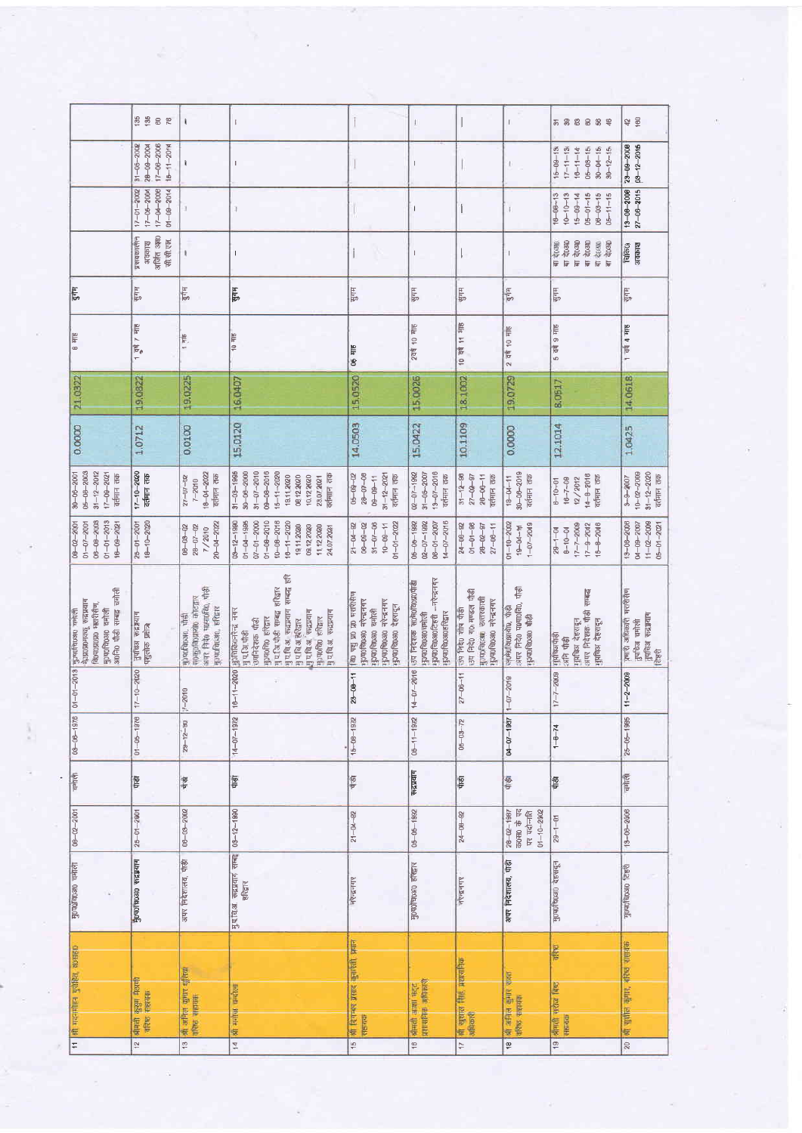|                                                                                                                                     | 135<br>8 R                                                                   | f.                                                                                        | $\overline{1}$                                                                                                                                                                                                                             |                                                                                                                       |                                                                                                                  |                                                                                                      | Ť                                                                                | <b>588888</b>                                                                                            | 42 \$                                                                  |
|-------------------------------------------------------------------------------------------------------------------------------------|------------------------------------------------------------------------------|-------------------------------------------------------------------------------------------|--------------------------------------------------------------------------------------------------------------------------------------------------------------------------------------------------------------------------------------------|-----------------------------------------------------------------------------------------------------------------------|------------------------------------------------------------------------------------------------------------------|------------------------------------------------------------------------------------------------------|----------------------------------------------------------------------------------|----------------------------------------------------------------------------------------------------------|------------------------------------------------------------------------|
|                                                                                                                                     | $31 - 05 - 2000$<br>$28 - 09 - 2004$<br>$17 - 06 - 2006$<br>$15 - 11 - 2014$ | ł.                                                                                        | $\overline{1}$                                                                                                                                                                                                                             |                                                                                                                       | $\mathbf{I}$                                                                                                     |                                                                                                      | ı                                                                                | $15 - 09 - 13$<br>$17 - 11 - 13$<br>$30 - 04 - 15$<br>$10 - 11 - 14$<br>$05 - 03 - 15$<br>$30 - 12 - 15$ | $03 - 12 - 2016$<br>$23 - 09 - 2008$                                   |
|                                                                                                                                     | $17 - 04 - 2008$<br>$17 - 05 - 200$<br>$D1 - 09 - 2014$<br>$17 - 01 - 2002$  |                                                                                           | 1.                                                                                                                                                                                                                                         |                                                                                                                       | 1                                                                                                                |                                                                                                      |                                                                                  | $16 - 08 - 13$<br>$10 - 10 - 13$<br>$05 - 01 - 15$<br>$06 - 03 - 15$<br>$15 - 09 - 14$<br>$06 - 11 - 15$ | $+8 - 08 - 2000$<br>$27 - 06 - 3015$                                   |
|                                                                                                                                     | अजिंत अक्<br>प्रसवकालीन<br>सी.सी.एल.<br>अवकाश                                | $\mathbf{I}$                                                                              |                                                                                                                                                                                                                                            |                                                                                                                       | T                                                                                                                |                                                                                                      |                                                                                  | बा दे0अ0<br>वा देख्य<br>बा दे0आ<br>बा केंद्रा<br>बाह्य केंद्रा<br>बा वे(उस)                              | चिकि0्<br>अवकाश                                                        |
| दुर्गम                                                                                                                              | पुगम                                                                         | दुर्गम                                                                                    | सुगम                                                                                                                                                                                                                                       | पुगम                                                                                                                  | पुगम                                                                                                             | पुगम                                                                                                 | $rac{4}{5}$                                                                      | माम्                                                                                                     | Ę                                                                      |
| 8 HIE                                                                                                                               | $\frac{d}{dx}$ / $x = 6$                                                     | 1 刊                                                                                       | $\frac{306}{10}$ 0)                                                                                                                                                                                                                        | 06 HIE                                                                                                                | 2वर्ष 10 माह                                                                                                     | 10 可 11 书房                                                                                           | 2 वर्ष 10 माह                                                                    | 5 वर्ष 9 माह                                                                                             | $1$ $\frac{1}{90}$ 4 $\frac{1}{90}$                                    |
| 21.0922                                                                                                                             | 19.0822                                                                      | 19.0225                                                                                   | 16.0407                                                                                                                                                                                                                                    | 15,0520                                                                                                               | 15.0026                                                                                                          | 18.1002                                                                                              | 19.0729                                                                          | 8.0517                                                                                                   | 14,0618                                                                |
| 0.0000                                                                                                                              | 1.0712                                                                       | 0.0100                                                                                    | 15.0120                                                                                                                                                                                                                                    | 14,0503                                                                                                               | 15.0422                                                                                                          | 10.1109                                                                                              | 0.0000                                                                           | 12.1014                                                                                                  | 1,0425                                                                 |
| $05 - 08 - 2003$<br>$31 - 12 - 2012$<br>$17 - 09 - 2021$<br>$30 - 06 - 2001$<br>वर्तमान तक                                          | $17 - 10 - 2020$<br>वर्तमान तक                                               | $18 - 04 - 2022$<br>वर्तमान तक<br>$27 - 07 - 02$<br>$7 - 2010$                            | $09 - 08 - 2016$<br>$31 - 03 - 1995$<br>$30 - 00 - 2000$<br>$31 - 07 - 2010$<br>$15 - 11 - 2020$<br>वर्तमान तक<br>18.11.2020<br>0812.2020<br>10.12.2020<br>23.07.2021                                                                      | $06 - 09 - 02$<br>$28 - 07 - 08$<br>$31 - 12 - 2021$<br>$09 - 09 - 11$<br>वर्तमान तक                                  | $13 - 07 - 2016$<br>$02 - 07 - 1992$<br>$31 - 05 - 2007$<br>वर्तमान तक                                           | $31 - 12 - 90$<br>$27 - 02 - 97$<br>$26 - 06 - 11$<br>वर्तमान तक                                     | $80 - 06 - 2019$<br>$18 - 04 - 11$<br>वर्तमान तक                                 | $14 - 8 - 2016$<br>वर्तमान तक<br>$6 - 10 - 01$<br>$16 - 7 - 09$<br>12/2012                               | $31 - 12 - 2020$<br>$10 - 02 - 2009$<br>$3 - 9 - 2007$<br>वर्तमान तक   |
| $06 - 06 - 2003$<br>$01 - 01 - 2013$<br>$01 - 07 - 2001$<br>$10 - 09 - 2021$<br>008-02-80                                           | $18 - 10 - 2020$<br>$25 - 01 - 2001$                                         | $20 - 04 - 2022$<br>$28 - 07 - 02$<br>$00 - 00 - 02$<br>7/2010                            | $01 - 08 - 2010$<br>$10 - 08 - 2016$<br>$07 - 01 - 2000$<br>$10 - 11 - 2020$<br>$09 - 12 - 1990$<br>$01 - 04 - 1995$<br>19,11,2020<br>09.12.2020<br>11.122020<br>24.07.2021                                                                | $31 - 07 - 06$<br>$01 - 01 - 2022$<br>$06 - 09 - 02$<br>$10 - 09 - 11$<br>$24 - 04 - 92$                              | $14 - 07 - 2016$<br>$02 - 07 - 1992$<br>08-01-2007<br>$06 - 06 - 1992$                                           | $01 - 01 - 96$<br>$24 - 08 - 92$<br>$28 - 02 - 97$<br>$27 - 06 - 11$                                 | $01 - 10 - 2002$<br>$1 - 07 - 2019$<br>$49 - 10 - 11$                            | $17 - 7 - 2009$<br>$15 - 8 - 2016$<br>$17 - 9 - 2012$<br>$29 - 1 - 04$<br>$B-10-04$                      | $11 - 02 - 2009$<br>$13 - 06 - 2006$<br>04-09-2007<br>$05 - 01 - 2021$ |
| अ0नि0 पौडी सम्बद्ध चमोली<br>केश्याश्राम्यक रूद्रप्रयाग<br>विश्वपत्रप्राप्त स्क्षारीसैण,<br>पुरुषणविरुआ यमोली<br>गुज्यपविष्ठअप यमोली | ारणीक कद्रप्रयाग<br>पशुलोक प्रक्षेत्र                                        | ave Freo www.fab. that<br>назы орнородон<br>मुज्यप्रविध्यक, इंस्ट्रिहर<br>rjouofcmano, 中部 | सम्बद्ध हरि<br>मुप.शि पौडी सम्बद्ध हरिद्वार<br>मुप.चि.अ. रूद्रप्रयाग<br>मुजनिकि0नरेन्द्र नगर<br>$H$ प. चि.अ. $'$ रूद्रप्रया ग<br>मुप.चि.अ. रूद्रप्रयाग<br>Bodogo susta<br>मुज्यानिक हरिद्वार<br>मु प चि.अ. हरितार<br>उपनिदेशक पीडी<br>可以成绩 | on and an an aircraft<br>मुज्य0चि030 नरेन्द्रनगर<br>पुरमणविष्य0 नरेन्द्रनगर<br>फुण्णविष्य देहरादून<br>मुज्यातील बनोली | मुज्या विाअवस्थियी - नरेन्द्रनगर<br>उप निदंशक साम्भाविष्णाणांकी<br><b>номеромовить</b><br>मुज्यप्रविण्डा व्यमोली | उप निर्देश गरे मण्डल पौढी<br>पुण्याविद्या उत्तरकाशी<br>पुण्यावि0अ0 नरेन्द्रनगर<br>उप निदेश शीष पाँडी | अपर निदेश पश्चपार्शवैश, पौड़ी<br>स्क्लेशविश्यायी9, पाड़ी<br><b>Bue orechonch</b> | अपर निदेशक पौड़ी सम्बद्ध<br>पुपचिअ देहरादून<br>मुप्तचिअ देहरादून<br>मुप्तक्ष्यपाँड़ी<br>अनि पौड़ी        | प्रमारी अधिकारी भरारीसण<br>ाुपविअ चमोली<br> <br> हिरुरी                |
| $01 - 01 - 2013$                                                                                                                    | $7 - 10 - 2020$                                                              | $7 - 2010$                                                                                | $16 - 11 - 2020$                                                                                                                                                                                                                           | $23 - 08 - 11$                                                                                                        | $4 - 07 - 2016$                                                                                                  | $27 - 06 - 11$                                                                                       | $-07 - 2018$                                                                     | $17 - 7 - 2009$                                                                                          | $11 - 2 - 2009$                                                        |
| $03 - 06 - 1976$                                                                                                                    | $01 - 05 - 1976$                                                             | $29 - 12 - 80$                                                                            | $14 - 07 - 1972$                                                                                                                                                                                                                           | $45 - 08 - 1972$                                                                                                      | $06 - 11 - 1972$                                                                                                 | $05 - 03 - 72$                                                                                       | $1861 - 10 - 10$                                                                 | $1 - 8 - 74$                                                                                             | $25 - 05 - 1985$                                                       |
| चनाली                                                                                                                               | 博                                                                            | पंज                                                                                       | qiell                                                                                                                                                                                                                                      | 有                                                                                                                     | कद्रप्रयाग                                                                                                       | $\frac{1}{2}$                                                                                        | 每                                                                                | 同                                                                                                        | वनीली                                                                  |
| $08 - 02 - 2001$                                                                                                                    | $25 - 01 - 2001$                                                             | 06-03-2002                                                                                | $03 - 12 - 1990$                                                                                                                                                                                                                           | $21 - 04 - 92$                                                                                                        | $05 - 06 - 1992$                                                                                                 | $24 - 08 - 92$                                                                                       | क0स0 के पद<br>$28 - 02 - 1987$<br>$01 - 10 - 2002$<br>पर पदान्तति                | $29 - 1 - 0!$                                                                                            | $13 - 06 - 2006$                                                       |
| मुण्यानिएअ० चमाली                                                                                                                   | hinting oreonional                                                           | अपर निदेशालय, पाड़ी                                                                       | मुप.चि.अ. रूद्रप्रयाग सम्बद्द<br>डरिद्वार                                                                                                                                                                                                  | नएन्द्रनगर                                                                                                            | Авдів окондомбы                                                                                                  | नरन्दनगर                                                                                             | अपर निदेशालय, पौड़ी                                                              | नुरुणकार बहरादून                                                                                         | <b>Roduction CEA</b>                                                   |
| थी गदनमोहन पुरोहित, अध्यहा0                                                                                                         | श्रीमती कुचुन मैठाणी<br>वरिष्ठ सहासक                                         | श्री अनिलं खुंगाए धुलिया                                                                  | श्री मनीज करोला                                                                                                                                                                                                                            | की दिनान्वर प्रसाद कुवरिशी प्रकार                                                                                     | spread and the<br>and and                                                                                        | बी खुशल सिंह, प्रशासनिक<br>अधिकारी                                                                   | बी अनिल कुमार रावत                                                               | age<br>श्रीमंती सराज बिल                                                                                 | की सुशील कागार, बरिष्ठ सहायक                                           |
| $\overline{\div}$                                                                                                                   | $\tilde{a}$                                                                  | offee enter<br>$\frac{3}{2}$                                                              | $\overline{\mathbf{x}}$                                                                                                                                                                                                                    | सहाराक<br>$\frac{5}{15}$                                                                                              | 科目<br>16                                                                                                         | $\overline{\mathcal{L}}$                                                                             | वरिष्ठ सहायक<br>æ                                                                | HBIRTH<br>$\boxed{9}$                                                                                    | $\overline{20}$                                                        |
|                                                                                                                                     |                                                                              |                                                                                           |                                                                                                                                                                                                                                            |                                                                                                                       |                                                                                                                  |                                                                                                      |                                                                                  |                                                                                                          |                                                                        |

 $\frac{1}{2}$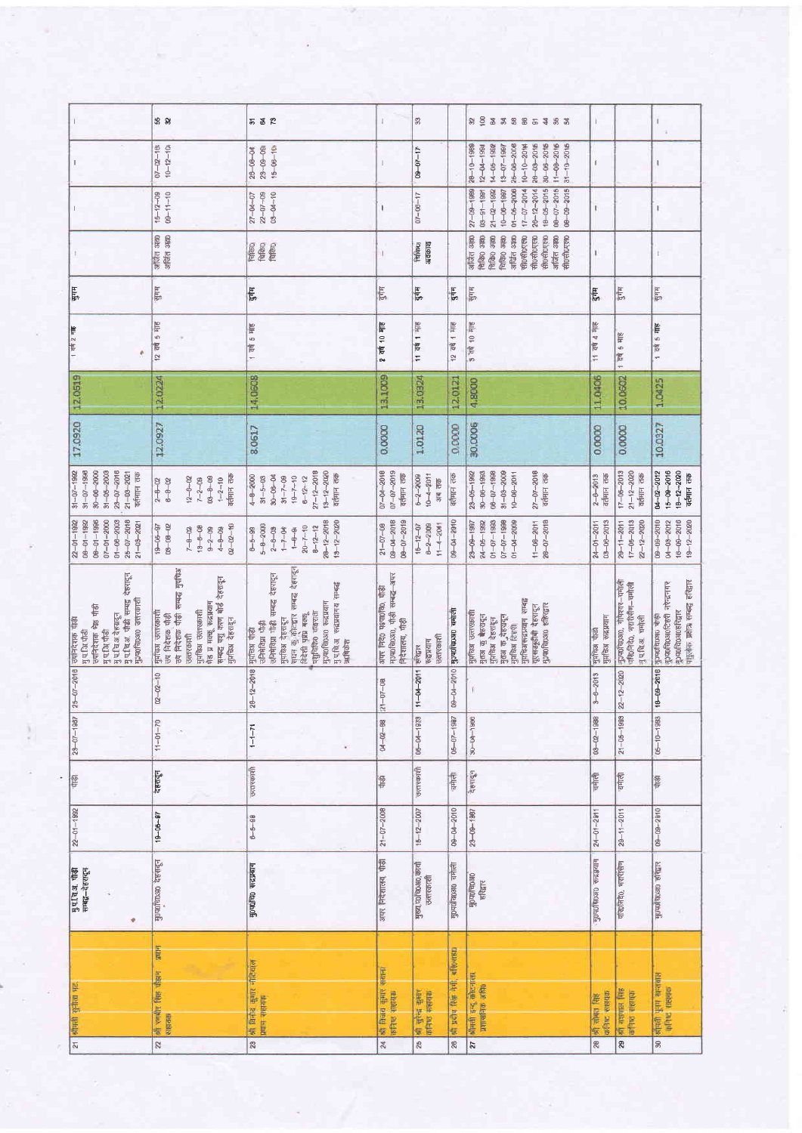|                                                                                                                                                          | \$8                                                                                                                                                                                                   | <u> 552 R</u>                                                                                                                                                                                                                                             | T                                                                               | 33                                                  |                           | $89$ $63$ $83$ $88$ $65$ $53$ $83$                                                                                                                                                                    | $\mathbf{I}$                         |                                                                             | $\mathsf{L}$                                                                                                 |
|----------------------------------------------------------------------------------------------------------------------------------------------------------|-------------------------------------------------------------------------------------------------------------------------------------------------------------------------------------------------------|-----------------------------------------------------------------------------------------------------------------------------------------------------------------------------------------------------------------------------------------------------------|---------------------------------------------------------------------------------|-----------------------------------------------------|---------------------------|-------------------------------------------------------------------------------------------------------------------------------------------------------------------------------------------------------|--------------------------------------|-----------------------------------------------------------------------------|--------------------------------------------------------------------------------------------------------------|
|                                                                                                                                                          | $07 - 02 - 10$<br>$10 - 12 - 10$                                                                                                                                                                      | $23 - 09 - 09$<br>$15 - 06 - 10$<br>$28 - 08 - 04$                                                                                                                                                                                                        |                                                                                 | $09 - 07 - 17$                                      |                           | $11 - 08 - 2015$<br>$31 - 10 - 2015$<br>$26 - 06 - 2008$<br>$20 - 03 - 2016$<br>$30 - 06 - 2015$<br>$28 - 10 - 1988$<br>$14 - 05 - 1999$<br>$10 - 10 - 20$ 14<br>$13 - 07 - 1987$<br>$12 - 04 - 1990$ | Ï                                    |                                                                             | $\mathsf I$                                                                                                  |
|                                                                                                                                                          | $15 - 12 - 09$<br>09-11-10                                                                                                                                                                            | $22 - 07 - 09$<br>$03 - 04 - 10$<br>$27 - 04 - 07$                                                                                                                                                                                                        | 1                                                                               | $07 - 06 - 17$                                      |                           | $08 - 07 - 2016$<br>$27 - 09 - 1989$<br>$01 - 06 - 2006$<br>$26 - 12 - 2014$<br>$18 - 05 - 2015$<br>$17 - 07 - 2014$<br>$08 - 09 - 2015$<br>$21 - 02 - 1992$<br>$10 - 06 - 1997$<br>$08 - 91 - 1991$  | L                                    |                                                                             | Г                                                                                                            |
|                                                                                                                                                          | अप्रित अल0<br>अप्रित अल0                                                                                                                                                                              | विकिथ<br>विकिए                                                                                                                                                                                                                                            |                                                                                 | अवकाश<br>lalaol                                     |                           | अजिंत आ<br>अजिंत आश<br><b>Right</b> over<br>तिकि0 अण<br>चिकि0 अग्न0<br>अर्चित अक्त<br>सी0सी0एल0<br><b>ARDADUTEIO</b><br>सी0सी0एल0<br>सी0सी0एल0                                                        | I                                    |                                                                             | E.                                                                                                           |
| मुगम                                                                                                                                                     | पुगम्                                                                                                                                                                                                 | <b>F</b>                                                                                                                                                                                                                                                  | दुर्गम                                                                          | पुर्गम                                              | दुर्गम                    | सुगम                                                                                                                                                                                                  | दुनाम्                               | हुर्गम                                                                      | सुगम                                                                                                         |
| 1 यथे 2 माइ                                                                                                                                              | 12 वर्ष 5 माह                                                                                                                                                                                         | 1 वर्ष 5 माह                                                                                                                                                                                                                                              | 2 বৰ্ষ 10 <del>মৃ</del> ষ্ট                                                     | <b>dat 1 sb</b><br>÷                                | 12 वर्ष 1 माह             | 9 वर्ष 10 माह                                                                                                                                                                                         | 11 वर्ष 4 माह                        | वर्ष 5 माह<br>÷                                                             | 1 वर्ष 5 माह                                                                                                 |
| 12,0619                                                                                                                                                  | 12.0224                                                                                                                                                                                               | 14.0608                                                                                                                                                                                                                                                   | 13.1009                                                                         | 13.0324                                             | 12.0121                   | 4,8000                                                                                                                                                                                                | 11,0406                              | 10.0602                                                                     | 1.0425                                                                                                       |
| 17,0920                                                                                                                                                  | 12.0927                                                                                                                                                                                               | 8.0617                                                                                                                                                                                                                                                    | 0.0000                                                                          | 1.0120                                              | 0.0000                    | 30,0006                                                                                                                                                                                               | 0.0000                               | 0.0000                                                                      | 10.0327                                                                                                      |
| $34 - 07 - 1992$<br>$30 - 06 - 2000$<br>$23 - 07 - 2016$<br>$31 - 07 - 1990$<br>$81 - 05 - 2003$<br>$21 - 03 - 2021$<br>वर्तमान तक                       | $1 - 2 - 10$<br>वर्तमान तक<br>$0.9 - 0 - 0.9$<br>$12 - 6 - 02$<br>$7 - 2 - 09$<br>$6 - 8 - 02$<br>$2 - 8 - 02$                                                                                        | $27 - 12 - 2018$<br>$13 - 12 - 2020$<br>वर्तमान तक<br>$30 - 06 - 04$<br>$4 - 8 - 2000$<br>$31 - 7 - 09$<br>$19 - 7 - 10$<br>$6 - 12 - 12$<br>$31 - 5 - 03$                                                                                                | 07-04-2018<br>$07 - 07 - 2019$<br>वर्तमान तक                                    | $10-4-2011$<br>$6 - 2 - 2009$<br>का लक              | वर्तमान तक                | $27 - 07 - 2018$<br>$31 - 03 - 2009$<br>$23 - 05 - 1992$<br>$30 - 06 - 1993$<br>$00 - 10 - 1998$<br>$10 - 00 - 2011$<br>वर्तमान तक                                                                    | $2 - 0 - 2013$<br>acture and         | $17 - 05 - 2013$<br>$21 - 12 - 2020$<br>वर्तमान तक                          | $15 - 09 - 2016$<br>04-02-2012<br>$18 - 12 - 2020$<br>वर्तमान तक                                             |
| $08 - 01 - 1996$<br>$25 - 07 - 2018$<br>$07 - 01 - 2000$<br>$01 - 00 - 2003$<br>$22 - 01 - 1992$<br>$08 - 01 - 1992$<br>$21 - 03 - 2021$                 | $09 - 00 - 02$<br>$0 - 20 - 20$<br>$18 - 06 - 97$<br>$13 - 6 - 08$<br>$7 - 8 - 02$<br>$9 - 2 - 09$<br>$4 - 8 - 09$                                                                                    | $28 - 12 - 2018$<br>$13 - 12 - 2020$<br>$5 - 8 - 2000$<br>$20 - 7 - 10$<br>$8 - 12 - 12$<br>$2 - 6 - 0.8$<br>$1 - 7 - 04$<br>$6 - 5 - 99$<br>$+ - +$                                                                                                      | $09 - 04 - 2018$<br>$08 - 07 - 2019$<br>$21 - 07 - 08$                          | $6 - 2 - 2009$<br>$11 - 4 - 2001$<br>$15 - 12 - 07$ | $08 - 04 - 2910$          | $01 - 07 - 1993$<br>$28 - 07 - 2018$<br>$07 - 07 - 1998$<br>$01 - 04 - 2009$<br>$29 - 09 - 1987$<br>$24 - 05 - 1992$<br>$11 - 08 - 2011$                                                              | $03 - 06 - 2013$<br>$24 - 01 - 2011$ | $17 - 05 - 2013$<br>$22 - 12 - 2020$<br>$29 - 11 - 2011$                    | $16 - 09 - 2016$<br>06-09-2010<br>04-03-2012<br>$19 - 12 - 2020$                                             |
| मुपायि जीवी<br>मुपाचि अतेहस्यदून<br>मुपाचि अ. जीवी सम्बद्ध देहरादून<br>पुराकप्रान् अध्यार प्राप्त<br>गुप.थि.पीडी<br> समिदेशक भेड़ पौडी<br>उपनिदेशक पाड़ी | उप निदेशक पौड़ी सम्बद्ध गुपचिअ<br>सम्बद्ध पशु काण बोर्ड देहरादून<br>मुर्गाच्छा देहरादून<br>मुमन्दिभ उत्तरस्काशी<br>बेड प्र मक्कू रूद्रप्रयाग<br> गुप्तांचअ उत्तरकाशी<br> उप निदेशक पौड़ी<br>उत्तरकाशी | सघन कु कोटद्वार सम्बद्ध देहरादून<br>। मुप्तांकेश पाँद्धी<br>  उनिभेविग्रा पौद्धी<br>  उनिभविग्रा पौद्धी सम्बद्ध देहरादून<br>मुप्तिअ रुद्रप्रयागय सम्बद्ध<br>मुञ्पर्णचे अस्यान<br>पशुचिकि० चकराता<br>विदेशी पृष्ठप्रे मक्कू<br>मुप्रकिअ देहरादून<br>अधिकेश | मः पर्णवे030, पौड़ी सम्बद्ध-अपर<br>अपर निरं0 पश्या0वि0, पौड़ी<br>誓<br>निदेशालय, | उत्तरकाशी<br><u>स्वप्रयाग</u><br><b>AIANS</b>       | Bothe oronatohof          | नुप्तचिअरूद्रप्रयाग सम्बद्ध<br><b>SOUTO STRAGE</b><br>गूरसडड़दीबी देहरादून<br><b>Uklehinen</b> Beault<br>मृतप्र कु केत्यदून<br>मुंग्रीतेश देहरादून<br>  मृतय क <sub>ु</sub> वेहयदून<br>  मृतिय हिल्शी | गुभचिअ पोडी<br>  गुप्तविअ फद्रप्रयाग | मुज्यांचे0अ0, गोपेश्वर–वभाली<br>परि0निदे0, भरारीसँण–चमोली<br>पुपनि.अ. चमोली | नुअपवि0अ0हरिद्वार<br>पाहलेक प्रक्षेत्रा सम्बद्ध हरिद्वार<br>$10000000000$ $7000118$<br>पुरुष <b>ा</b> वाद्या |
| $5 - 07 - 2016$                                                                                                                                          | $02 - 02 - 10$                                                                                                                                                                                        | $0 - 12 - 2018$                                                                                                                                                                                                                                           | $-07 - 08$<br>Ň                                                                 | $1 - 04 - 2011$                                     | 0904-2010                 |                                                                                                                                                                                                       | $3 - 6 - 2013$                       | $22 - 12 - 2020$                                                            | $6 - 09 - 2016$                                                                                              |
| $29 - 07 - 1987$                                                                                                                                         | $11 - 01 - 70$                                                                                                                                                                                        | $1 - 1 - 71$                                                                                                                                                                                                                                              | $04 - 02 - 88$                                                                  | $05 - 04 - 1973$                                    | $05 - 07 - 1987$          | $30 - 04 - 1986$                                                                                                                                                                                      | $03 - 02 - 1988$                     | $21 - 06 - 1999$                                                            | $05 - 10 - 1983$                                                                                             |
| 慳                                                                                                                                                        | देहरादून                                                                                                                                                                                              | उत्तरकाशी                                                                                                                                                                                                                                                 | 图                                                                               | जुलरकाशी                                            | काला                      | देहरादून                                                                                                                                                                                              | काली                                 | चमाली                                                                       | 廖                                                                                                            |
| $22 - 01 - 1992$                                                                                                                                         | $19 - 06 - 87$                                                                                                                                                                                        | $8 - 6 - 90$                                                                                                                                                                                                                                              | $21 - 07 - 2008$                                                                | $16 - 12 - 2007$                                    | 09-04-2010                | $23 - 06 - 1987$                                                                                                                                                                                      | $24 - 01 - 2011$                     | $29 - 11 - 2011$                                                            | $09 - 09 - 2010$                                                                                             |
| पुप.चि.अ. पौड़ी<br>सम्बद्ध–देहरादून<br>÷                                                                                                                 | Homephan desire                                                                                                                                                                                       | <b>Honque orghain</b>                                                                                                                                                                                                                                     | अपर निदेशालय, पीड़ी                                                             | मुख्य,पठचिछअठ,कार्या<br>उत्तरकाशी                   | गुण्यानिकअव चर्माली       | <b>ROADLADORO</b><br>RUSLIA                                                                                                                                                                           | ने अध्यक्ष 0 हरी अध्यक्ष             | परि0लिदं0, भएरिसिण                                                          | पुरायोग अध्यानिक                                                                                             |
| बीमसी सुनीता घट                                                                                                                                          | <b>SHILL</b><br>की रणबीर सिंग चौहान<br>WRITER                                                                                                                                                         | 精 降宿 更収 书馆事<br>प्रमान साहरगर्म                                                                                                                                                                                                                            | श्री विजय युनाए स्थानां<br>कनिष्ठ सहायक                                         | 41 सुरेन कुसर<br>कारिक सहस्य                        | <b>40 以前 医第一个时间 电电子线电</b> | श्रीमंत्री इन्दू कोटनाला.<br>प्रशासनिक अधि                                                                                                                                                            | कनिष्ट सहयक<br>ship pine is          | off equinor like<br>office catter                                           | सीमती पूर्वम खन्तावाल<br>कनिष्ट शहराक                                                                        |
| $\overline{z}$                                                                                                                                           | 22                                                                                                                                                                                                    | $\overline{\mathbb{R}}$                                                                                                                                                                                                                                   | 24                                                                              | 25                                                  | 26                        | 27                                                                                                                                                                                                    | 28                                   | 29                                                                          | $\overline{\mathcal{R}}$                                                                                     |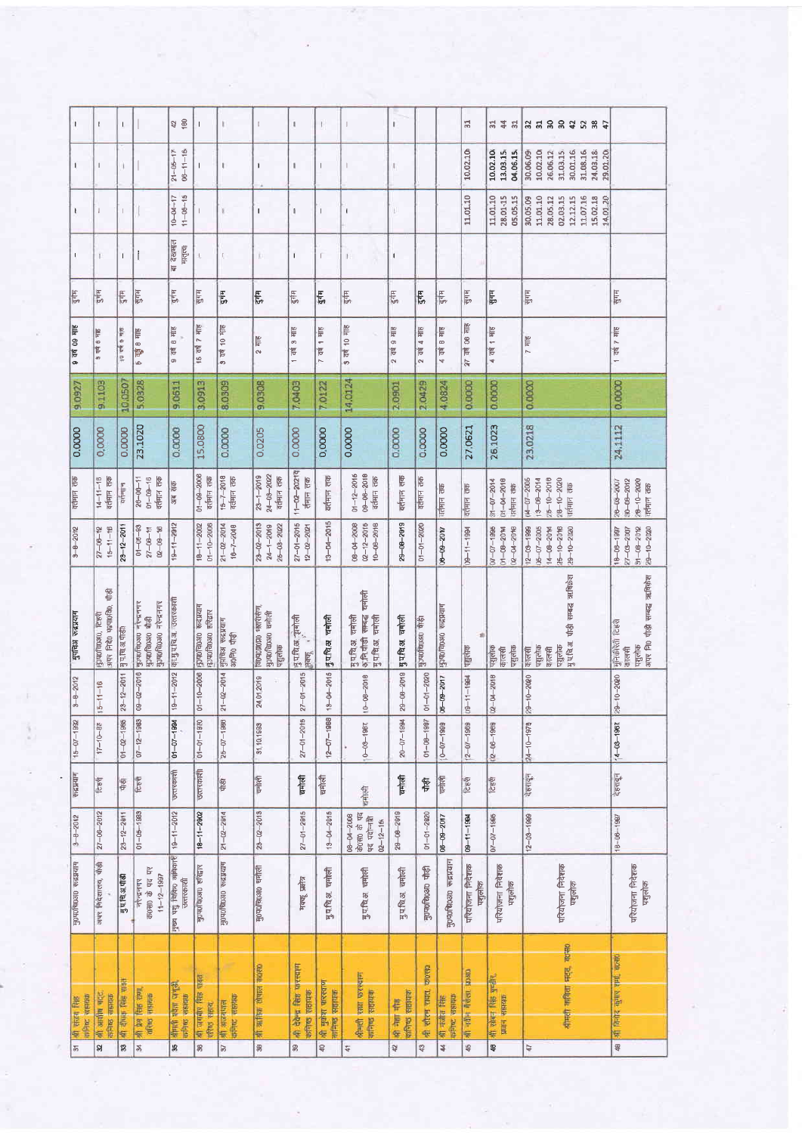| п                              | $\mathbf{I}$                                          | $\mathbf{I}$     |                                                          | 42 60                               | $\overline{\phantom{a}}$                     | T.                                     | $\mathbb{I}$                                            | $\mathbf{I}$                                    | T.                                   | L                                                                          | T                   |                           |                                  | $E_{\rm E}$               | 314<br>윾                                            | 35882385                                                                                          |                                                                               |
|--------------------------------|-------------------------------------------------------|------------------|----------------------------------------------------------|-------------------------------------|----------------------------------------------|----------------------------------------|---------------------------------------------------------|-------------------------------------------------|--------------------------------------|----------------------------------------------------------------------------|---------------------|---------------------------|----------------------------------|---------------------------|-----------------------------------------------------|---------------------------------------------------------------------------------------------------|-------------------------------------------------------------------------------|
| $\mathbf{I}$                   | $\mathbf{I}$                                          | ı.               |                                                          | $21 - 05 - 17$<br>$08 - 11 - 15$    | $\overline{1}$                               | $\mathbf{I}$                           | $\mathsf I$                                             | $\mathsf{I}$                                    | $\mathbf{I}$                         | т                                                                          | t.                  |                           |                                  | 10.02.10                  | 10.02.10<br>13,03.15<br>04.06.15                    | 10.02.10<br>31,03.15<br>30.01.16<br>31.08.16<br>24.03.18<br>30,06.09<br>26.06.12<br>29.01.20      |                                                                               |
| $\mathbf{I}$                   | T                                                     |                  |                                                          | $10 - 04 - 17$<br>$11 - 05 - 15$    |                                              | $\mathbf{I}$                           | $\mathsf I$                                             | $\mathsf{I}$                                    | $\mathsf{I}$                         | t.                                                                         | U                   |                           |                                  | 11.01.10                  | 28,01-15<br>05.05.15<br>11.01.10                    | 11.01.10<br>02.03.15<br>11.07.16<br>15.02.18<br>30,05.09<br>28.05.12<br>12.12.15<br>14.01.20      |                                                                               |
|                                | $\mathbb{I}$                                          | $\overline{1}$   | İ                                                        | या देखभाल<br>मातृत्वा               |                                              | $\mathbb T$                            | ĵ.                                                      | $\overline{1}$                                  |                                      | I.                                                                         | $\mathbf{I}$        |                           |                                  |                           |                                                     |                                                                                                   |                                                                               |
| दुर्गम                         | दुर्गम                                                | $rac{1}{3}$      | पुगम                                                     | $rac{4}{5}$                         | मुगम                                         | 4165                                   | दुर्गम                                                  | $\frac{1}{2}$                                   | $rac{1}{3}$                          | दुर्गम                                                                     | F.                  | 541                       | $\frac{1}{\sqrt{2}}$             | सुगम                      | भुगम                                                | साम्                                                                                              | सुगम                                                                          |
| <b>Silt 60 \$P</b><br>$\circ$  | 5 पर्व 6 नाह                                          | 916 9 da 01      | 8 HTE<br>Þ<br>ها                                         | वर्ष 6 माह<br>$\sigma$              | Slk /<br>15 वर्ष                             | $9$ $\overline{49}$ 10 $\overline{48}$ | $2$ H <sub>IE</sub>                                     | वर्ष 3 माह<br>÷                                 | 7 वर्ष 1 माह                         | 9 वर्ष 10 गाह                                                              | alle 6 bb<br>$\sim$ | 2 वर्ष 4 माह              | $9 - 41$<br>4 TH                 | SII: 90 pp 16             | 4 वर्ष 1 माह                                        | $7$ $\overline{416}$                                                                              | 1 वर्ष 7 माह                                                                  |
| 9.0927                         | 9.1103                                                | 10,0507          | 5.0328                                                   | 9.0611                              | 3.0913                                       | 8.0309                                 | 9.0308                                                  | 7.0403                                          | 7.0122                               | 14.0124                                                                    | 2,0901              | 2.0429                    | 4.0824                           | 0.0000                    | 0.0000                                              | 0.0000                                                                                            | 0.0000                                                                        |
| 0.0000                         | 0.0000                                                | 0.0000           | 23.1020                                                  | 0.0000                              | 15.0800                                      | 0.0000                                 | 0.0205                                                  | 0.0000                                          | 0.0000                               | 0,0000                                                                     | 0.0000              | 0.0000                    | 0.0000                           | 27.0621                   | 26.1023                                             | 23.0218                                                                                           | 24,1112                                                                       |
| वर्तमान तक                     | $\frac{14-11-18}{16+117}$                             | $q$ cjerije      | $28 - 06 - 11$<br>$01 - 09 - 16$<br>वर्तमान तक           | अब सक                               | $01 - 09 - 2006$<br>$\overline{a}$ chiri das | $15 - 7 - 2018$<br>वर्तमान तक          | $23 - 1 - 2019$<br>$24 - 03 - 2022$<br>वर्तमान तक       | $11 - 02 - 20217$<br>र्तमान तक                  | वर्तमान तक                           | $01 - 12 - 2016$<br>$09 - 08 - 2018$<br>वर्तमान तक                         | वर्तमान तक          | वर्तमान तक                | गतमान तक                         | वतमान तक                  | $01 - 10 - 10$<br>$31 - 07 - 2014$<br>वर्तमान तक    | $13 - 08 - 2014$<br>$25 - 10 - 2010$<br>$28 - 10 - 2020$<br>$04 - 07 - 2005$<br>बर्तमान तक        | $90 - 08 - 2012$<br>$\frac{28-10-2020}{100417}$<br>7002-60-92                 |
| $9 - 8 - 2012$                 | $\frac{27 - 08 - 12}{27 - 08 - 12}$<br>$15 - 11 - 16$ | $23 - 12 - 2011$ | $01 - 05 - 93$<br>$02 - 09 - 16$<br>$27 - 08 - 11$       | $19 - 11 - 2912$                    | $18 - 11 - 2002$<br>$01 - 10 - 2006$         | $21 - 02 - 2014$<br>$16 - 7 - 2048$    | $23 - 02 - 2013$<br>$24 - 1 - 2069$<br>$26 - 03 - 2022$ | $27 - 01 - 2015$<br>$12 - 202$                  | $13 - 04 - 2015$                     | $02 - 12 - 2015$<br>$00 - 00 - 2008$<br>$10 - 08 - 2018$                   | $29 - 08 - 2019$    | $01 - 01 - 2020$          | <b>M02-60-90</b>                 | $1 - 1994$                | 02-04-2018<br>$07 - 07 - 1996$<br>$01 - 08 - 20$ 14 | $25 - 10 - 20$ 16<br>$29 - 10 - 2020$<br>$05 - 07 - 2005$<br>$12 - 03 - 1989$<br>$14 - 08 - 20$ M | $29 - 10 - 2020$<br>$31 - 06 - 20$ 12<br>$27 - 03 - 2007$<br>$18 - 00 - 1997$ |
| मुपनिअ रूद्रप्रयाग             | 磐<br>अपर निर्दे0 पक्षपार्श्रवै0,<br>HonoLando LEEG    | मु प.चि.अ.पोड़ी  | मुज्य के अधिकार<br>$3h + 3h + 0$ ROBIOHOL<br>Homposto #9 | का.मुप.चि.अ. उत्तरकाशी              | никра окордомб<br>настровой среди            | मुप्तचिअ रूद्रप्रयाग<br>अ0नि0 पौड़ी    | LEDERODONO a BKIALISADI<br>मुऽप0च्छिअ0 चमोली<br>पशुलोक  | पुप.चि.अ. चनोली<br>सन्म                         | नुपधिअ घर्माली                       | <b>THING</b><br>मुप्रसिअ चर्माली<br>अनिपौडी सम्बद्ध १<br>मुप.चि.अ. चर्माली | नुपद्यि अ चर्माली   | Bue orenench              | पुरुषराज्य अध्यान                | पालक                      | पशुलोक<br>पशुलाक<br>कालसी                           | मुप्रतिअ पौड़ी सम्बद्ध ऋषिर्फ़श<br>पशुलोक<br>पशुलोक<br>कालसी<br>कालसी                             | अपर नि0 पौद्यी सम्बद्ध ऋषिकंश<br>गुनिकीरेती टिहरी<br>पशुलोक<br>कालसी          |
| $3 - 8 - 2012$                 | $15 - 11 - 16$                                        | $23 - 12 - 2011$ | $09 - 02 - 2016$                                         | $9 - 11 - 2012$                     | $01 - 10 - 2006$                             | $21 - 02 - 2014$                       | 24 01 2019                                              | $27 - 01 - 2015$                                | $8 - 04 - 2015$                      | $10 - 08 - 2018$                                                           | $29 - 08 - 2019$    | $01 - 01 - 2020$          | $06 - 09 - 2017$                 | $09 - 11 - 1984$          | $02 - 04 - 2018$                                    | $29 - 10 - 2000$                                                                                  | 29-10-2020                                                                    |
| $15 - 07 - 1952$               | $17 - 10 - 88$                                        | $01 - 02 - 1985$ | $07 - 12 - 1983$                                         | $01 - 07 - 1994$                    | $04 - 01 - 1970$                             | $25 - 07 - 1980$                       | 31,10.1993                                              | $27 - 01 - 2015$                                | $12 - 70 - 1900$                     | $0 - 08 - 1987$                                                            | $20 - 07 - 1994$    | $01 - 00 - 1987$          | $0 - 07 - 1999$                  | $(2 - 07 - 1969)$         | $(2 - 06 - 1909)$                                   | $24 - 10 - 1978$                                                                                  | $14 - 03 - 196$                                                               |
| कद्रप्रयाग                     | टिहरी                                                 | 博                | <b>REA</b>                                               | जत्तरकाशी                           | उत्तरकाशी                                    | 僧                                      | चनोली                                                   | होती                                            | <b>THIE</b>                          | चनोली                                                                      | चर्माली             | 磐                         | चर्माली                          | टहरी                      | टहरी                                                | देहरादून                                                                                          | देहरादून                                                                      |
| $3 - 8 - 2012$                 | $27 - 06 - 2012$                                      | $23 - 12 - 2011$ | $01 - 05 - 1989$                                         | $19 - 11 - 2012$                    | $18 - 11 - 2002$                             | $21 - 02 - 2014$                       | $23 - 02 - 2013$                                        | $27 - 01 - 2015$                                | $13 - 04 - 2015$                     | के0स0 के पद<br>पद पदोन्नति<br>$00 - 0 - 0 - 008$<br>$02 - 12 - 15$         | $29 - 00 - 2019$    | $04 - 01 - 2020$          | 08-09-2017                       | $09 - 11 - 1994$          | $07 - 07 - 1905$                                    | $12 - 03 - 1999$                                                                                  | $18 - 06 - 1987$                                                              |
| ниева окоадста                 | अपर निदेशालय, पौड़ी                                   | मुप्राचि.अ.पीडी  | सरेन्द्रनगर<br>क0स्र0 के पद पर<br>$11 - 12 - 1997$       | पुख्य पशु चिकि अधिकारी<br>जत्तरकाशी | sigla oronghang                              | ньгам окоролон                         | कुपराज़िया बनाली                                        | मयन्, प्रमोत्र                                  | गुप्रविअ चनोली                       | गुप.चि.अ. चनोली                                                            | मुप्तिअ चर्माली     | मुण्णवि <b>oan</b> पौड़ी  | மாத்த முழைம்படு                  | परियोजना निदेशक<br>पशुलोक | परियोजना निवेशक<br>पशुलोक                           | परियोजना निदेशक<br>पशुलोक                                                                         | परियोजना निदेशक<br>पशुलोक                                                     |
| attitude appearant<br>40 研究 程度 | श्री आसीष गट्ट<br>क्रमिष्ठ राष्ठावक                   | of dust fee und  | with the state<br>afees estern                           | श्रीमती नवेता जगड़ी.<br>कनिक सहायक  | que<br>sh airlay Ris<br>uters venu           | कनिष्ट संस्रयक<br>श्री अजवंशाल         | श्री त्रांतिक तीपाल कंधला                               | off the feature of the con-<br>aturals satisfic | श्री मुकेश पारस्वाण<br>संनिच्च सहायक | श्रीमंत्री रामा फरस्वाण<br>中国 医血性                                          | when summ<br>新 市    | 350.00<br>श्री सोरम रायत् | affire anno<br>off staffer felse | श्री नयीन गैरीला प्राण्डा | श्री सोबन सिंह पुण्डीए<br><b>WITH SERGER</b>        | ग्रीमंती वाविता मदद, कास0                                                                         | भी विनोद कुमार होगी, कल्ली                                                    |
| $\overline{5}$                 | R                                                     | 33               | R                                                        | 93                                  | 36                                           | 57                                     | 59                                                      | 99                                              | 40                                   | 44                                                                         | Q                   | 43                        | 4                                | 45                        | 48                                                  | $47$                                                                                              | 48                                                                            |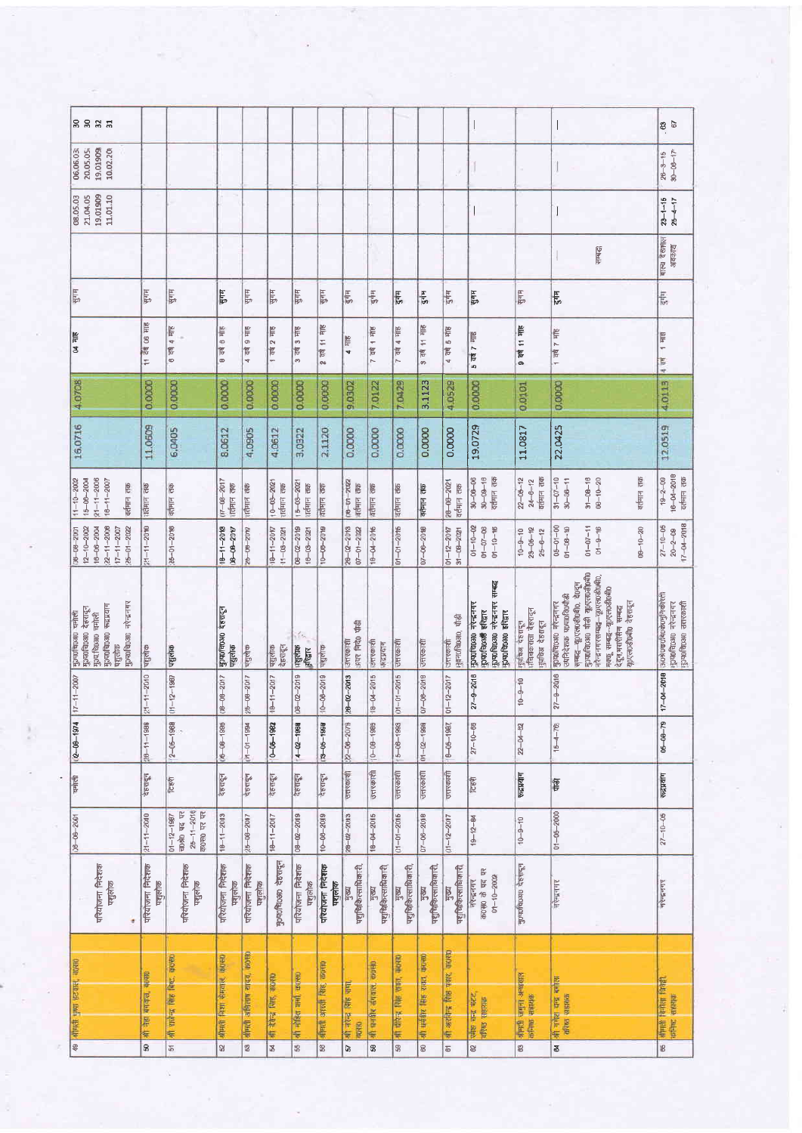| <b>8885</b>                                                                                                                 |                           |                                                                             |                                    |                               |                                      |                                |                           |                                        |                                           |                                           |                                                     |                                        |                                                                                                    |                                                             |                                                                                                                                                                                                                            | <b>8</b> 67                                                                                        |
|-----------------------------------------------------------------------------------------------------------------------------|---------------------------|-----------------------------------------------------------------------------|------------------------------------|-------------------------------|--------------------------------------|--------------------------------|---------------------------|----------------------------------------|-------------------------------------------|-------------------------------------------|-----------------------------------------------------|----------------------------------------|----------------------------------------------------------------------------------------------------|-------------------------------------------------------------|----------------------------------------------------------------------------------------------------------------------------------------------------------------------------------------------------------------------------|----------------------------------------------------------------------------------------------------|
| 20,05.05<br>19.01909<br>10.02.20<br>06.06.03                                                                                |                           |                                                                             |                                    |                               |                                      |                                |                           |                                        |                                           |                                           |                                                     |                                        |                                                                                                    |                                                             |                                                                                                                                                                                                                            | $26 - 3 - 15$<br>$30 - 06 - 17$                                                                    |
| 21,04.05<br>19.01909<br>11.01.10<br>08.05.03                                                                                |                           |                                                                             |                                    |                               |                                      |                                |                           |                                        |                                           |                                           |                                                     |                                        |                                                                                                    |                                                             |                                                                                                                                                                                                                            | $23 - 1 - 15$<br>$25 - 4 - 17$                                                                     |
|                                                                                                                             |                           |                                                                             |                                    |                               |                                      |                                |                           |                                        |                                           |                                           |                                                     |                                        |                                                                                                    |                                                             | सम्बद्ध                                                                                                                                                                                                                    | बाल्य देखभाल<br>अवकाश                                                                              |
| Enlis                                                                                                                       | पुगम                      | पुगम                                                                        | पुगम                               | <b>ELE</b>                    | पुगम्                                | पुगम                           | प्रमम्                    | $\frac{1}{3}$                          | $\frac{1}{3}$                             | $\frac{1}{2}$                             | $rac{1}{2}$                                         | $\frac{1}{2}$                          | Hulk                                                                                               | ELL IÂ                                                      | दुर्गम                                                                                                                                                                                                                     | $\frac{1}{2}$                                                                                      |
| <b>SUL 70</b>                                                                                                               | 11 वर्ष 06 साह            | 6 वर्ष 4 माह                                                                | 9 वर्ष 6 माह                       | 4 वर्ष 9 माह                  | 1 वर्ष 2 माह                         | $3 - 40$<br>$3 - 415$          | 2 तये 11 माह              | $4 \frac{418}{20}$                     | 7 वर्ष 1 माह                              | 7 वर्ष 4 माह                              | $3$ $\overline{10}$ $\overline{11}$ $\overline{11}$ | 5 HTE<br>470                           | $5$ $\overline{48}$ $7$ $\overline{416}$                                                           | 9 वर्ष 11 माह                                               | 1 वर्ष 7 माह                                                                                                                                                                                                               | 1 刊页<br>4.04                                                                                       |
| 4.0708                                                                                                                      | 0.0000                    | 0.0000                                                                      | 0.0000                             | 0.0000                        | 0.0000                               | 0.0000                         | 0.0000                    | 9,0302                                 | 7.0122                                    | 7.0429                                    | 3.1123                                              | 4,0529                                 | 0.0000                                                                                             | 0.0101                                                      | 0.0000                                                                                                                                                                                                                     | 4,0113                                                                                             |
| 16,0716                                                                                                                     | 11.0609                   | 6,0405                                                                      | 8.0612                             | 4.0905                        | 4,0612                               | 3.0322                         | 2.1120                    | 0.0000                                 | 0.0000                                    | 0.0000                                    | 0.0000                                              | 0.0000                                 | 19.0729                                                                                            | 11.0817                                                     | 22.0425                                                                                                                                                                                                                    | 12.0519                                                                                            |
| $21 - 11 - 2006$<br>$15 - 06 - 2004$<br>$11 - 10 - 2002$<br>$18 - 11 - 2007$<br>वर्तमान तक                                  | वर्तमान तक                | वर्तमान तक                                                                  | $07 - 08 - 2017$<br>बर्तमान तक     | वर्तमान तक                    | $10 - 03 - 2021$<br>तर्तमान तक       | $15 - 08 - 2021$<br>शर्तमान तक | वर्तमान तक                | 08-01-2022<br>वर्तमान तक               | वतीमान तक                                 | वर्तमान तक                                | वतमान तक                                            | 28-08-2021<br>वर्तमान तक               | $30 - 09 - 18$<br>वर्तमान तक<br>$30 - 06 - 06$                                                     | वर्तमान तक<br>$22 - 05 - 12$<br>$24 - 6 - 12$               | $31 - 07 - 10$<br>$31 - 08 - 18$<br>$06 - 10 - 20$<br>वर्तमान तक<br>$30 - 06 - 11$                                                                                                                                         | $16 - 04 - 2018$<br>$19 - 2 - 09$                                                                  |
| $16 - 06 - 2004$<br>$22 - 11 - 2000$<br>$25 - 01 - 2022$<br>$12 - 10 - 2002$<br>$06 - 80 - 801$<br>$17 - 11 - 2007$         | $21 - 11 - 2010$          | $26 - 01 - 2016$                                                            | $18 - 11 - 2010$<br>08-08-2017     | 26-08-2017                    | $18 - 11 - 2017$<br>$11 - 03 - 2021$ | 08-02-2019<br>$18 - 03 - 2021$ | $+0 - 06 - 20 + 9$        | $28 - 20 - 85$<br>$07 - 01 - 2022$     | 18-04-2016                                | $01 - 01 - 2016$                          | $07 - 06 - 20$ 18                                   | $01 - 12 - 2017$<br>$31 - 08 - 2021$   | $0 - 10 - 02$<br>$01 - 07 - 08$<br>$01 - 10 - 10$                                                  | $23 - 05 - 12$<br>$10 - 9 - 10$<br>$25 - 6 - 12$            | $05 - 01 - 00$<br>$01 - 07 - 11$<br>$06 - 10 - 20$<br>$01 - 08 - 80$<br>$01 - 9 - 16$                                                                                                                                      | $17 - 04 - 2018$<br>$27 - 10 - 05$<br>$20 - 2 - 09$                                                |
| मुज़्यावि0अ0 नरेन्द्रनगर<br>нытя окодолсЕ<br>  मुञ्फांच0अ0 चमोली<br>  मुञ्फांच0अ0 देहरादून<br>मुञ्च,चि0अ0 चर्नोली<br>पशुलोक | पशुलोक                    | पशुलाक                                                                      | मुज़्फान्त0310 देहरादून<br> पशुलोक | पशुलोक                        | पशुलाक<br>देहरादृन                   | पशुलोक<br>इष्ट्वार             | पशुलाक                    | 何中 日本 日本<br>उत्तरकाशी                  | अत्तरकाशी<br><b>सिद्ध्रयाग</b>            | उत्तरकाशी                                 | उत्तरकाशी                                           | मुक्न0चि0अ0, पौड़ी<br>उत्तरकाशी        | फ़ुम्मर प्रान्यजनगर सम्बद्ध<br>फ़ामणांचा अरेन्द्रनगर<br><b>Johnson</b> Frank<br>फुफ्शनिया हरिद्वार | पविचकराता बेहरादून<br>मुर्गाक्य देहरादून<br>पुपचिय देहरादून | ருமாலை ர்சி ஜாஸ்ஸ்ரி<br>नरेन्द्रनगरसम्बद्ध-यू०एल0डीपबी0,<br>सम्बद्ध-यू०एल0डी0वी0, दे0दूस<br>मक्कू सम्बद्ध--यू०एल०डी०बी०<br>उपनिदेशक प0पा0वि0पौडी<br>मुज्यागचा ज्यान नर<br>यू०एल०डी0बी0 देहरादून<br>देदन, मरारी सेण सम्बद्ध | <u> 1-04-5040   90%   90%   90%   90%   90%  </u><br>पुरम्पाचित्स्था नरेन्द्रनगर<br>Radench orches |
| $7 - 11 - 2007$                                                                                                             | $-11 - 2010$<br>Ň,        | $-12 - 1987$                                                                | $08 - 08 - 2017$                   | $26 - 06 - 2017$              | $18 - 11 - 2017$                     | $08 - 02 - 2019$               | $0 - 06 - 2019$           | $-2013$<br>×                           | $18 - 04 - 2015$                          | $-01 - 2015$<br>ŏ                         | $-08 - 2018$<br>δ                                   | $-12 - 2017$                           | $27 - 9 - 2016$                                                                                    | $10 - 9 - 10$                                               | $27 - 9 - 2016$                                                                                                                                                                                                            |                                                                                                    |
| $486 - 90 - 374$                                                                                                            | $286 + 1 - 198$           | $2 - 05 - 1960$                                                             | $05 - 08 - 1995$                   | $(i1 - 01 - 1994$             | $0 - 05 - 1982$                      | $4 - 02 - 1989$                | $13 - 06 - 1990$          | $22 - 06 - 2079$                       | $10 - 00 - 1989$                          | $5 - 06 - 1993$                           | $(11 - 02 - 1998)$                                  | $0 - 05 - 1987$                        | $27 - 10 - 65$                                                                                     | $22 - 04 - 62$                                              | $15 - 4 - 76$                                                                                                                                                                                                              | $05 - 08 - 79$                                                                                     |
| चमोली                                                                                                                       | देहरादून                  | टिहरी                                                                       | देहरादून                           | देहरादन                       | देहरादून                             | देश्शद्भन                      | देहरादुन                  | उत्तरकाशी                              | उत्तरकाशी                                 | उत्तरकाशी                                 | उत्तरकाशी                                           | उत्तरकाशी                              | <b>CEN</b>                                                                                         | फायाग                                                       | पांडी                                                                                                                                                                                                                      | लंद्रप्रयाग                                                                                        |
| $06 - 06 - 200$                                                                                                             | $21 - 11 - 2010$          | $25 - 11 - 2016$<br>क0स0 पर पर<br>$\frac{01 - 12 - 1987}{1080 - 12 - 1987}$ | $18 - 11 - 2013$                   | $25 - 08 - 2017$              | $18 - 11 - 2017$                     | $08 - 02 - 2019$               | $10 - 00 - 2019$          | $28 - 02 - 2013$                       | $18 - 04 - 2015$                          | $01 - 01 - 2016$                          | $07 - 06 - 2018$                                    | $01 - 12 - 2017$                       | $19 - 12 - 84$                                                                                     | $10 - 9 - 10$                                               | $01 - 06 - 2000$                                                                                                                                                                                                           | $27 - 10 - 05$                                                                                     |
| परियोजना निदेशक<br>पशुलोक<br>٠                                                                                              | परियोजना निदेशक<br>पशुलोक | गरियोजना निदेशक<br>पशुलोक                                                   | परियोजना निदेशक<br>पशुलोक          | परियोजना निदेशक<br>पशुलोक     | पुण्फाणि कारादून                     | परियोजना निदेशक<br>पशुलोक      | परियोजना निदेशक<br>पशुलोक | पशुधिकित्साधिकारी.<br>Ŗ                | म्युचिकित्साधिकारी.<br>पशुचिकित्साधिकारी. | म्युचिकित्साधिकारी,<br>पशुचिकित्साधिकारी, | पशुचिकित्साधिकारी,<br>Ŗ,                            | मुशकित्साधिकारी,<br>पशुचिकित्साधिकारी, | नरेन्द्रनगर<br>क0स0 के पद पर<br>$01 - 10 - 2002$                                                   | Homphono device                                             | सरेन्द्रनगर                                                                                                                                                                                                                | परेन्द्रनगर                                                                                        |
| which that search mean                                                                                                      | श्री नेहा बनवाल, बंगफा    | श्री पाधीना सिंह बिर, काउसा                                                 | श्रीमती निशा सेमवाल, कं0संग्र      | श्रीमंत्री अधिलाम यादव, काव्य | शी देवेन्द्र सिंह, काल्सा            | श्री नोहित शर्मा, कल्सा        | strict and his moon       | श्री नरेन्द्र सिंह सणा<br><b>CHAGE</b> | श्री मनगोर जगवाल, काम्सा                  | alive like year, wound<br>륛               | all writte like trust sports                        | की अरविन्द्र सिंह पंजर कारण            | एमेश यन्त्र सटट<br>वरिष्ठ सहराक                                                                    | abare lifth mith<br>astring entitles                        | श्री गणेश चन्द्र वनोला<br>afew usuan                                                                                                                                                                                       | 新花 海海 自治<br>कनिष्ट सहायक                                                                           |
| 49                                                                                                                          | 50                        | 51                                                                          | 8                                  | 8                             | z                                    | 55                             | 58                        | 57                                     | $\mathbb{S}$                              | 39                                        | $\otimes$                                           | 61                                     | 8                                                                                                  | 63                                                          | g                                                                                                                                                                                                                          | 65                                                                                                 |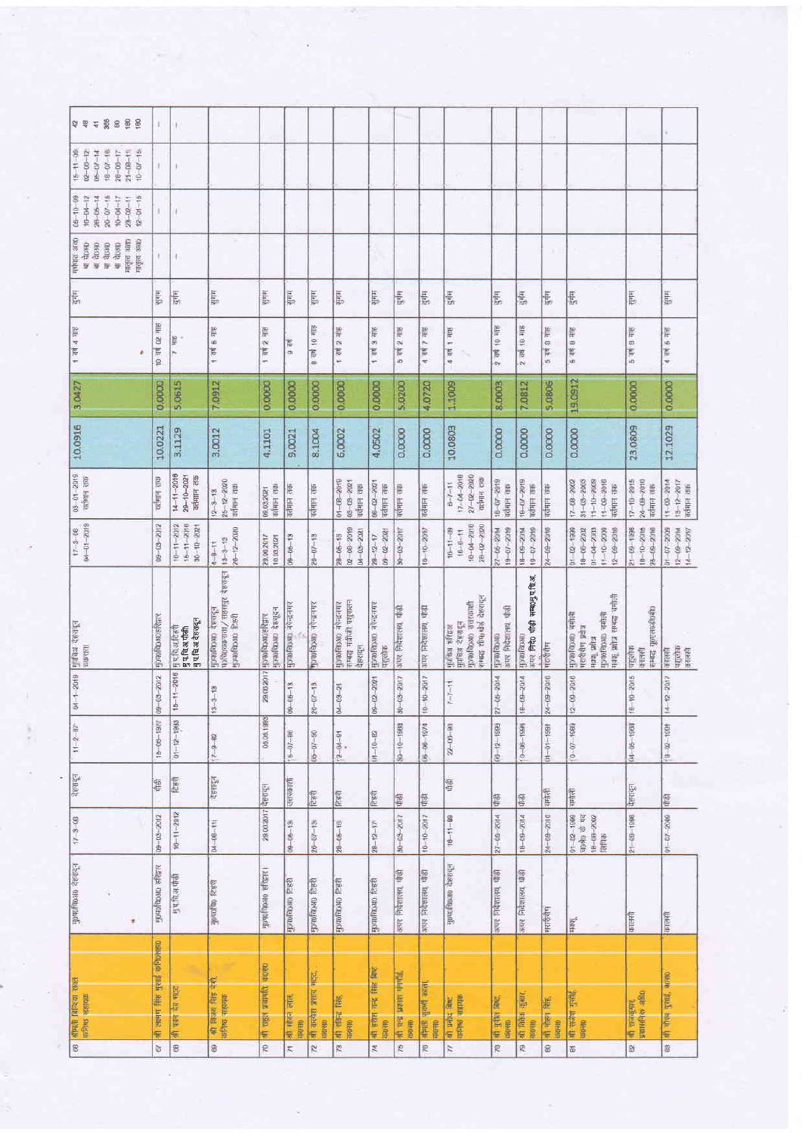| <b>\$ \$ \$ \$ \$ \$ \$ \$</b>                                                                                             | U.                     | $\begin{array}{c} \end{array}$                          |                                                                       |                                                  |                                 |                                                 |                                                                |                                              |                                               |                                       |                                                                                       |                                     |                                    |                             |                                                                                                                                              |                                               |                                                    |
|----------------------------------------------------------------------------------------------------------------------------|------------------------|---------------------------------------------------------|-----------------------------------------------------------------------|--------------------------------------------------|---------------------------------|-------------------------------------------------|----------------------------------------------------------------|----------------------------------------------|-----------------------------------------------|---------------------------------------|---------------------------------------------------------------------------------------|-------------------------------------|------------------------------------|-----------------------------|----------------------------------------------------------------------------------------------------------------------------------------------|-----------------------------------------------|----------------------------------------------------|
| $18 - 07 - 10$<br>$21 - 68 - 11$<br>$15 - 11 - 09$<br>$02 - 06 - 12$<br>$06 - 07 - 14$<br>$28 - 08 - 17$<br>$10 - 07 - 15$ | a.                     | B)                                                      |                                                                       |                                                  |                                 |                                                 |                                                                |                                              |                                               |                                       | ×                                                                                     |                                     |                                    |                             |                                                                                                                                              |                                               |                                                    |
| $20 - 07 - 15$<br>$12 - 01 - 15$<br>$05 - 10 - 09$<br>$10 - 10 - 12$<br>$28 - 86 - 14$<br>$10 - 04 - 17$<br>$23 - 12 - 11$ | ¥.                     | a)                                                      |                                                                       |                                                  |                                 |                                                 |                                                                |                                              |                                               |                                       | ×                                                                                     |                                     |                                    |                             |                                                                                                                                              |                                               |                                                    |
| strikling<br>Hirger simp<br><b>HIGHT 3880</b><br>भा देखक<br>या दे <b>0310</b><br>usob in<br><b>NEOSIT</b>                  | ł.                     | I)                                                      |                                                                       |                                                  |                                 |                                                 |                                                                |                                              |                                               |                                       |                                                                                       |                                     |                                    | O                           |                                                                                                                                              |                                               |                                                    |
| $\frac{1}{2}$                                                                                                              | italik                 | 長                                                       | <u>HitB</u>                                                           | HIE                                              | Hill                            | Hill                                            | HIth                                                           | साम                                          | <u>it je B</u>                                | Hick                                  | 長                                                                                     | $\frac{1}{2}$                       | दुर्गम                             | g tij                       | $\frac{1}{3}$                                                                                                                                | सुमम                                          | सुगम                                               |
| 1 可图 4 可图                                                                                                                  | 10 31 02 初             | ille<br>k,                                              | sile 9 pb 1                                                           | 1 वर्ष 2 माह                                     | $9$ and                         | HTE<br>$\mathop{\mathfrak{S}}$<br>Ē<br>$\infty$ | 1 4th 5 4th                                                    | 1 वर्ष 3 माह                                 | sur č ju<br>$\overline{5}$                    | 4 RH 7 HIS                            | 4 4 4 1 4 15                                                                          | Salt 04 ap 8                        | 2 44 10 416                        | suhe & p.b. 9               | 9 44 9 416                                                                                                                                   | 5 44 8 416                                    | 4 सर्थ 5 माह                                       |
| 3.0427                                                                                                                     | 0.0000                 | 5,0615                                                  | 7.0912                                                                | 0.0000                                           | 0.0000                          | 0.0000                                          | 0.0000                                                         | 0.0000                                       | <b>S.0200</b>                                 | 4,0720                                | 1,1009                                                                                | 8.0003                              | 7.0812                             | 5.0806                      | 19.0912                                                                                                                                      | 0.0000                                        | 0.0000                                             |
| 10.0916                                                                                                                    | 10.0221                | 3.1129                                                  | 3.0012                                                                | 4,1101                                           | 9,0021                          | 8.1004                                          | 6,0002                                                         | 4.0502                                       | 0.0000                                        | 0.0000                                | 10.0803                                                                               | 0.0000                              | 0.0000                             | 0.0000                      | 0.0000                                                                                                                                       | 23.0809                                       | 12.1029                                            |
| 03-01-2019<br>out Hatpit                                                                                                   | वर्तमान तक             | $14 - 11 - 2018$<br>$29 - 10 - 2021$<br>वर्तमान तक      | $25 - 12 - 2020$<br>यर्तमान तक<br>$12 - 3 - 13$                       | वर्तमान तक<br>09.03.2021                         | वर्तमान तक                      | वर्तमान ताक                                     | $01 - 08 - 2019$<br>03-03-2021<br>वर्तमान तक                   | $00 - 02 - 2021$<br>वर्तमान तक               | वर्तमान तक                                    | वर्तमान तक                            | $17 - 04 - 2018$<br>$27 - 12 - 2020$<br>वर्तमान तक<br>$6 - 7 - 11$                    | $18 - 07 - 2019$<br>वरीमान तक       | $10 - 10 - 919$<br>वर्तमान तक      | वर्तमान तक                  | $11 - 10 - 2008$<br>$11 - 00 - 2010$<br>$31 - 03 - 2003$<br>$17 - 08 - 2002$<br>वर्तमान तक                                                   | $17 - 10 - 2015$<br>24 09 2018<br>वरोगान सक   | $11 - 09 - 2014$<br>$13 - 12 - 2017$<br>वर्तमान तक |
| 04-01-2019<br>$17 - 3 - 08$                                                                                                | 09-03-2012             | $15 - 11 - 2010$<br>$+8 - 1 - 2012$<br>$30 - 10 - 2021$ | $28 - 12 - 2020$<br>$13 - 3 - 13$<br>$4 - 8 - 11$                     | 29.06.2017<br>10.03.2021                         | $09 - 06 - 13$                  | $20 - 07 - 13$                                  | $60C - 60 - 20$<br>04-03-2021<br>$28 - 06 - 10$                | $09 - 202 + 00$<br>$28 - 12 - 17$            | $30 - 03 - 2017$                              | $10 - 10 - 20$ %?                     | 18-00-2018<br>28-02-2020<br>$16 - 11 - 09$<br>$10 - 8 - 11$                           | $19 - 7209$<br>$27 - 06 - 20$ 14    | $18 - 09 - 2014$<br>$19 - 70 - 81$ | 24-09-2018                  | $01 - 02 - 1939$<br>$01 - 04 - 2003$<br>$11 - 10 - 2008$<br>F602-50-21<br>18-08-2002                                                         | 25-09-2016<br>8661-60-12<br>$18 - 10 - 20$ 15 | $14 - 12 - 2072$<br>$01 - 07 - 2009$<br>NOG-50-21  |
| मुप्रचिअ देहसादून<br><b>RUFFELL</b>                                                                                        | <b>Homogostogistic</b> | मुपविअटिहरी<br>पुपविअपीठी<br>गुपविअदेहरादून             | ungo abase / management<br>Reales orceptode<br><b>HONDROGHO REEVI</b> | Honofatsun 489g44<br>29.06.2017 Hyrofepsroef car | मुज्यातिकाशा नदेन्द्रनगर        | MONDERGHO TRIETING                              | सम्बद्ध मंत्रीजी पशुपालन<br>Ant-S-Ar OffenplonCh<br>देहरावृत्त | нопоблозно петание<br>पशलोक                  | 雪<br>अपर निदेशालय,                            | अपर निदेशालय, पौद्यी                  | संबद्ध शीष कई देहरादून<br>मुप्तिश्च देहराडून<br>मुज्फोविठशा जतरकाशी<br>girless sferge | अपर निदेशात्त्व, पीढी<br>orengoteli | <b>SEP 中心中心中心</b><br>orotapoch     | मंशशैसेम                    | मंग्कृ प्रशंत्र सम्बद्ध चनोली<br>Entre orcegonde<br>Phila oreday<br>मशरीसग प्रतीन<br><b>EUX</b> TODA                                         | सम्बद्ध यूराएलाडीएकी<br>पशुलोक<br>कालसी       | ugens<br>oreen<br>कालसी                            |
| $04 - 1 - 2019$                                                                                                            | 09-08-2012             | $5 - 11 - 2016$                                         | $3 - 13$                                                              |                                                  | $09 - 05 - 13$                  | $3 - 13$<br>$\approx$                           | $04 - 03 - 21$                                                 | 09-02-201                                    | $-08 - 2017$                                  | $10 - 10 - 2017$                      | $7 - 7 - 11$                                                                          | 27-05-2014                          | $18 - 09 - 2014$                   | 24-09-2010                  | $12 - 09 - 2016$                                                                                                                             | $-10 - 2015$                                  | $14 - 12 - 2017$                                   |
| $11 - 2 - 87$                                                                                                              | $15 - 08 - 1977$       | $01 - 12 - 1983$                                        | $7 - 9 - 82$                                                          | 05.05.1993                                       | $b - 07 - 86$                   | $06 - 70 - 80$                                  | $(2 - 04 - 9)$                                                 | $01 - 10 - 82$                               | $30 - 10 - 1988$                              | $05 - 06 - 1974$                      | $22 - 00 - 90$                                                                        | $(66 - 12 - 1999)$                  | $0 - 06 - 1996$                    | $(11 - 01 - 196)$           | $0 - 07 - 1960$                                                                                                                              | $04 - 05 - 1968$                              | $B - 02 - 1991$                                    |
| देहरादुन                                                                                                                   | 宿                      | È                                                       | देहरादुन                                                              |                                                  | उत्तरकाशी                       | टिहरी                                           | टिसरी                                                          | 危机                                           | 會                                             | 博                                     | 管中                                                                                    | 图                                   | 管                                  | 市市                          | ख्मोली                                                                                                                                       | पेहरादुन                                      | 嚼                                                  |
| $17 - 3 - 08$                                                                                                              | $09 - 03 - 2012$       | $10 - 11 - 2012$                                        | $04 - 08 - 11$                                                        | 29.06.2017 국정대중                                  | $09 - 06 - 13$                  | $26 - 07 - 18$                                  | $28 - 05 - 10$                                                 | $28 - 12 - 17$                               | $30 - 26 - 2017$                              | $10 - 10 - 2017$                      | $16 - 11 - 89$                                                                        | 27-05-2014                          | $18 - 09 - 2014$                   | 24-09-2016                  | $\begin{array}{ c c c }\hline 01-02-1980 \\ \hline 80980 & \emptyset & 0 \xi \\ \hline 18-00-2002 \\ \hline 18006 & & \\ \hline \end{array}$ | $21 - 00 - 1988$                              | $01 - 07 - 2008$                                   |
| मुक्काविद्याल देहसदन<br>٠                                                                                                  | alage orcegondi        | <b>Bufas</b> (1)                                        | <b>Baa</b> ontenon                                                    | нада окоардана.                                  | <b>Ibaofacao</b> fest           | Real orenanda                                   | Real orchonole                                                 | Pasa oreneanda                               | अगर निर्दशालय, पीडी                           | अपर निदेशालय, पीड़ी                   | Phase oreitante                                                                       | अपर निवेशालय, पौड़ी                 | अपर निर्दशालय, पौड़ी               | वरारीसैण                    | HOLE                                                                                                                                         | कालसी                                         | कालसी                                              |
| श्रीमती बिन्दिया शाहत<br>कपिष्ठ सहायक                                                                                      | orated the aid ment of | श्री पान देव भट्ट                                       | भी विजय सिंह नेंगी.<br>कांगेफ सहायक                                   | श्री राहुल प्रजापति, कंठस्क                      | श्री पोंदन लाल.<br><b>GROWN</b> | श्री कलेश प्रसाद भट्ट.<br>市场                    | भी सीमा सिंह,<br><b>OROSE</b>                                  | श्री हरीश नन्द्र सिद्ध सिद्ध<br><b>GROSE</b> | श्री बन्द्र प्रकाश संस्थांने<br><b>OROSIL</b> | श्रीमती सुधर्णी काला<br><b>RIOFRD</b> | <b>WHEEL</b> SALISE<br>off print fire                                                 | 4 手術 麻<br><b>THORN</b>              | of fann were<br><b>BROAD</b>       | 41 484 Bit.<br><b>DRAMA</b> | श्री राजेश गुरांति,<br>सहस्र                                                                                                                 | श्री राजकुमर<br>प्रशासनिक अधि                 | after gent, noen<br>笨                              |
| g                                                                                                                          | $\overline{67}$        | g                                                       | 8                                                                     | R                                                | R                               | $\overline{r}$                                  | $\overline{78}$                                                | 74                                           | $\frac{75}{2}$                                | R                                     | <b>Z</b>                                                                              | æ                                   | g.                                 | S                           | 65                                                                                                                                           | B                                             | B                                                  |

ļ